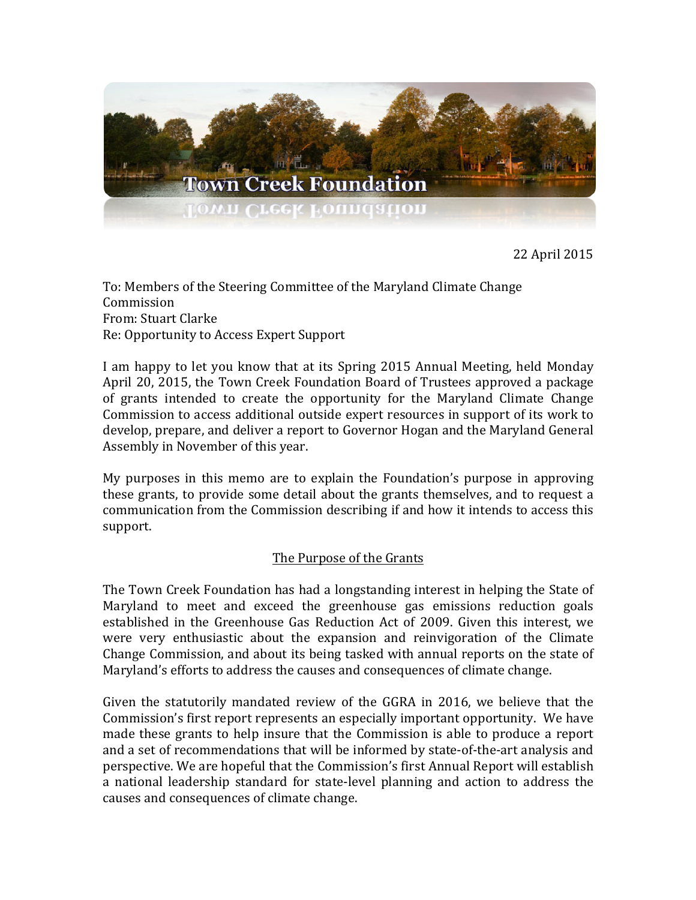

22 April 2015

To: Members of the Steering Committee of the Maryland Climate Change Commission From: Stuart Clarke Re: Opportunity to Access Expert Support

I am happy to let you know that at its Spring 2015 Annual Meeting, held Monday April 20, 2015, the Town Creek Foundation Board of Trustees approved a package of grants intended to create the opportunity for the Maryland Climate Change Commission to access additional outside expert resources in support of its work to develop, prepare, and deliver a report to Governor Hogan and the Maryland General Assembly in November of this year.

My purposes in this memo are to explain the Foundation's purpose in approving these grants, to provide some detail about the grants themselves, and to request a communication from the Commission describing if and how it intends to access this support.

## The Purpose of the Grants

The Town Creek Foundation has had a longstanding interest in helping the State of Maryland to meet and exceed the greenhouse gas emissions reduction goals established in the Greenhouse Gas Reduction Act of 2009. Given this interest, we were very enthusiastic about the expansion and reinvigoration of the Climate Change Commission, and about its being tasked with annual reports on the state of Maryland's efforts to address the causes and consequences of climate change.

Given the statutorily mandated review of the GGRA in 2016, we believe that the Commission's first report represents an especially important opportunity. We have made these grants to help insure that the Commission is able to produce a report and a set of recommendations that will be informed by state-of-the-art analysis and perspective. We are hopeful that the Commission's first Annual Report will establish a national leadership standard for state-level planning and action to address the causes and consequences of climate change.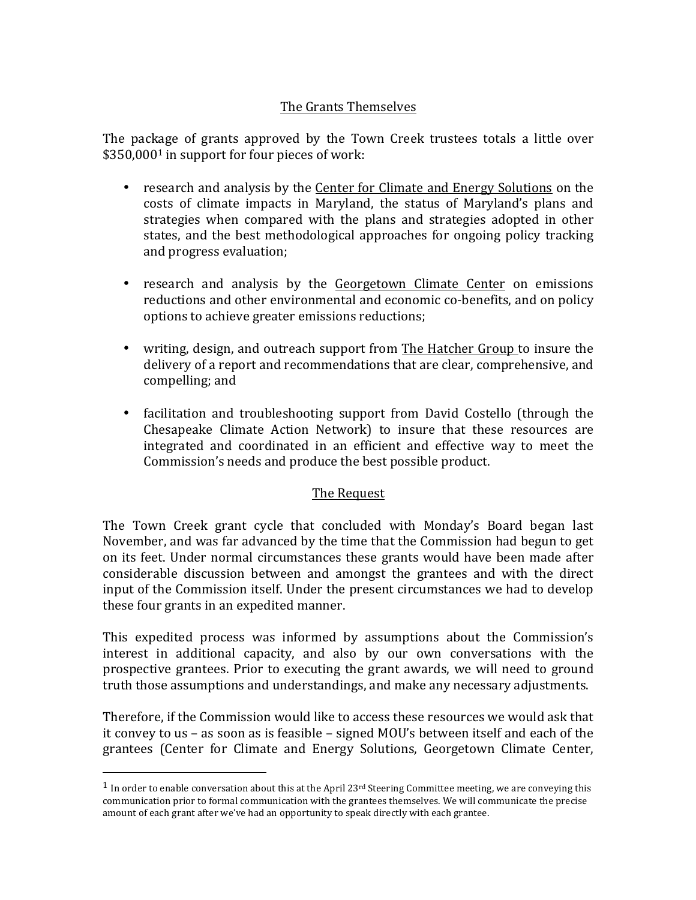## The Grants Themselves

The package of grants approved by the Town Creek trustees totals a little over  $$350,0001$  in support for four pieces of work:

- research and analysis by the Center for Climate and Energy Solutions on the costs of climate impacts in Maryland, the status of Maryland's plans and strategies when compared with the plans and strategies adopted in other states, and the best methodological approaches for ongoing policy tracking and progress evaluation;
- research and analysis by the Georgetown Climate Center on emissions reductions and other environmental and economic co-benefits, and on policy options to achieve greater emissions reductions;
- writing, design, and outreach support from The Hatcher Group to insure the delivery of a report and recommendations that are clear, comprehensive, and compelling; and
- facilitation and troubleshooting support from David Costello (through the Chesapeake Climate Action Network) to insure that these resources are integrated and coordinated in an efficient and effective way to meet the Commission's needs and produce the best possible product.

## The Request

The Town Creek grant cycle that concluded with Monday's Board began last November, and was far advanced by the time that the Commission had begun to get on its feet. Under normal circumstances these grants would have been made after considerable discussion between and amongst the grantees and with the direct input of the Commission itself. Under the present circumstances we had to develop these four grants in an expedited manner.

This expedited process was informed by assumptions about the Commission's interest in additional capacity, and also by our own conversations with the prospective grantees. Prior to executing the grant awards, we will need to ground truth those assumptions and understandings, and make any necessary adjustments.

Therefore, if the Commission would like to access these resources we would ask that it convey to us – as soon as is feasible – signed MOU's between itself and each of the grantees (Center for Climate and Energy Solutions, Georgetown Climate Center,

 

<sup>&</sup>lt;sup>1</sup> In order to enable conversation about this at the April  $23rd$  Steering Committee meeting, we are conveying this communication prior to formal communication with the grantees themselves. We will communicate the precise amount of each grant after we've had an opportunity to speak directly with each grantee.